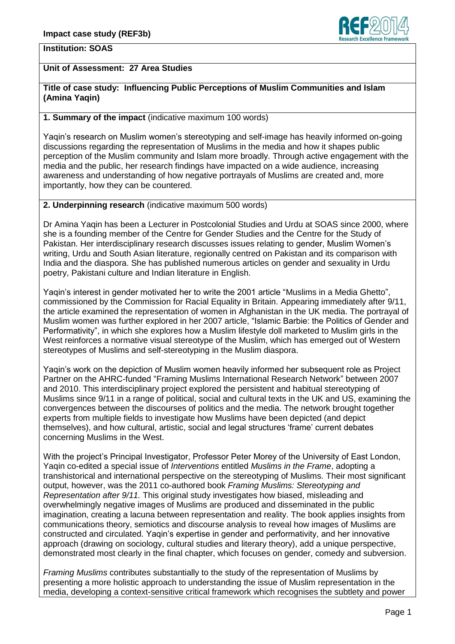

## **Institution: SOAS**

# **Unit of Assessment: 27 Area Studies**

### **Title of case study: Influencing Public Perceptions of Muslim Communities and Islam (Amina Yaqin)**

## **1. Summary of the impact** (indicative maximum 100 words)

Yaqin"s research on Muslim women"s stereotyping and self-image has heavily informed on-going discussions regarding the representation of Muslims in the media and how it shapes public perception of the Muslim community and Islam more broadly. Through active engagement with the media and the public, her research findings have impacted on a wide audience, increasing awareness and understanding of how negative portrayals of Muslims are created and, more importantly, how they can be countered.

#### **2. Underpinning research** (indicative maximum 500 words)

Dr Amina Yaqin has been a Lecturer in Postcolonial Studies and Urdu at SOAS since 2000, where she is a founding member of the Centre for Gender Studies and the Centre for the Study of Pakistan. Her interdisciplinary research discusses issues relating to gender, Muslim Women"s writing, Urdu and South Asian literature, regionally centred on Pakistan and its comparison with India and the diaspora. She has published numerous articles on gender and sexuality in Urdu poetry, Pakistani culture and Indian literature in English.

Yaqin"s interest in gender motivated her to write the 2001 article "Muslims in a Media Ghetto", commissioned by the Commission for Racial Equality in Britain. Appearing immediately after 9/11, the article examined the representation of women in Afghanistan in the UK media. The portrayal of Muslim women was further explored in her 2007 article, "Islamic Barbie: the Politics of Gender and Performativity", in which she explores how a Muslim lifestyle doll marketed to Muslim girls in the West reinforces a normative visual stereotype of the Muslim, which has emerged out of Western stereotypes of Muslims and self-stereotyping in the Muslim diaspora.

Yaqin"s work on the depiction of Muslim women heavily informed her subsequent role as Project Partner on the AHRC-funded "Framing Muslims International Research Network" between 2007 and 2010. This interdisciplinary project explored the persistent and habitual stereotyping of Muslims since 9/11 in a range of political, social and cultural texts in the UK and US, examining the convergences between the discourses of politics and the media. The network brought together experts from multiple fields to investigate how Muslims have been depicted (and depict themselves), and how cultural, artistic, social and legal structures "frame" current debates concerning Muslims in the West.

With the project's Principal Investigator, Professor Peter Morey of the University of East London, Yaqin co-edited a special issue of *Interventions* entitled *Muslims in the Frame*, adopting a transhistorical and international perspective on the stereotyping of Muslims. Their most significant output, however, was the 2011 co-authored book *Framing Muslims: Stereotyping and Representation after 9/11.* This original study investigates how biased, misleading and overwhelmingly negative images of Muslims are produced and disseminated in the public imagination, creating a lacuna between representation and reality. The book applies insights from communications theory, semiotics and discourse analysis to reveal how images of Muslims are constructed and circulated. Yaqin"s expertise in gender and performativity, and her innovative approach (drawing on sociology, cultural studies and literary theory), add a unique perspective, demonstrated most clearly in the final chapter, which focuses on gender, comedy and subversion.

*Framing Muslims* contributes substantially to the study of the representation of Muslims by presenting a more holistic approach to understanding the issue of Muslim representation in the media, developing a context-sensitive critical framework which recognises the subtlety and power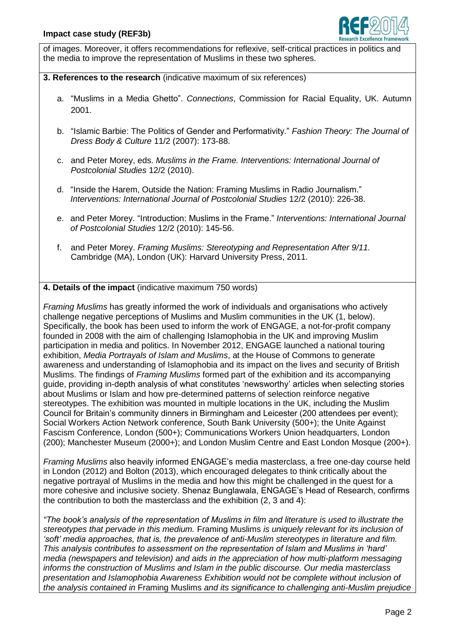

of images. Moreover, it offers recommendations for reflexive, self-critical practices in politics and the media to improve the representation of Muslims in these two spheres.

### **3. References to the research** (indicative maximum of six references)

- a. "Muslims in a Media Ghetto". *Connections*, Commission for Racial Equality, UK. Autumn 2001.
- b. "Islamic Barbie: The Politics of Gender and Performativity." *Fashion Theory: The Journal of Dress Body & Culture* 11/2 (2007): 173-88.
- c. and Peter Morey, eds. *Muslims in the Frame. Interventions: International Journal of Postcolonial Studies* 12/2 (2010).
- d. "Inside the Harem, Outside the Nation: Framing Muslims in Radio Journalism." *Interventions: International Journal of Postcolonial Studies* 12/2 (2010): 226-38.
- e. and Peter Morey. "Introduction: Muslims in the Frame." *Interventions: International Journal of Postcolonial Studies* 12/2 (2010): 145-56.
- f. and Peter Morey. *Framing Muslims: Stereotyping and Representation After 9/11.* Cambridge (MA), London (UK): Harvard University Press, 2011.

## **4. Details of the impact** (indicative maximum 750 words)

*Framing Muslims* has greatly informed the work of individuals and organisations who actively challenge negative perceptions of Muslims and Muslim communities in the UK (1, below). Specifically, the book has been used to inform the work of ENGAGE, a not-for-profit company founded in 2008 with the aim of challenging Islamophobia in the UK and improving Muslim participation in media and politics. In November 2012, ENGAGE launched a national touring exhibition, *Media Portrayals of Islam and Muslims*, at the House of Commons to generate awareness and understanding of Islamophobia and its impact on the lives and security of British Muslims. The findings of *Framing Muslims* formed part of the exhibition and its accompanying guide, providing in-depth analysis of what constitutes "newsworthy" articles when selecting stories about Muslims or Islam and how pre-determined patterns of selection reinforce negative stereotypes. The exhibition was mounted in multiple locations in the UK, including the Muslim Council for Britain"s community dinners in Birmingham and Leicester (200 attendees per event); Social Workers Action Network conference, South Bank University (500+); the Unite Against Fascism Conference, London (500+); Communications Workers Union headquarters, London (200); Manchester Museum (2000+); and London Muslim Centre and East London Mosque (200+).

*Framing Muslims* also heavily informed ENGAGE"s media masterclass, a free one-day course held in London (2012) and Bolton (2013), which encouraged delegates to think critically about the negative portrayal of Muslims in the media and how this might be challenged in the quest for a more cohesive and inclusive society. Shenaz Bunglawala, ENGAGE"s Head of Research, confirms the contribution to both the masterclass and the exhibition (2, 3 and 4):

*"The book"s analysis of the representation of Muslims in film and literature is used to illustrate the stereotypes that pervade in this medium.* Framing Muslims *is uniquely relevant for its inclusion of "soft" media approaches, that is, the prevalence of anti-Muslim stereotypes in literature and film. This analysis contributes to assessment on the representation of Islam and Muslims in "hard" media (newspapers and television) and aids in the appreciation of how multi-platform messaging informs the construction of Muslims and Islam in the public discourse. Our media masterclass presentation and Islamophobia Awareness Exhibition would not be complete without inclusion of the analysis contained in* Framing Muslims *and its significance to challenging anti-Muslim prejudice*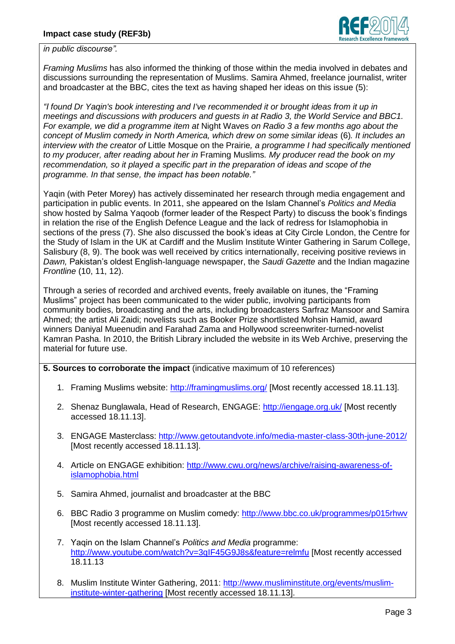

*in public discourse".*

*Framing Muslims* has also informed the thinking of those within the media involved in debates and discussions surrounding the representation of Muslims. Samira Ahmed, freelance journalist, writer and broadcaster at the BBC, cites the text as having shaped her ideas on this issue (5):

*"I found Dr Yaqin's book interesting and I've recommended it or brought ideas from it up in meetings and discussions with producers and guests in at Radio 3, the World Service and BBC1. For example, we did a programme item at* Night Waves *on Radio 3 a few months ago about the concept of Muslim comedy in North America, which drew on some similar ideas* (6)*. It includes an interview with the creator of* Little Mosque on the Prairie*, a programme I had specifically mentioned to my producer, after reading about her in* Framing Muslims*. My producer read the book on my recommendation, so it played a specific part in the preparation of ideas and scope of the programme. In that sense, the impact has been notable."*

Yaqin (with Peter Morey) has actively disseminated her research through media engagement and participation in public events. In 2011, she appeared on the Islam Channel"s *Politics and Media* show hosted by Salma Yaqoob (former leader of the Respect Party) to discuss the book"s findings in relation the rise of the English Defence League and the lack of redress for Islamophobia in sections of the press (7). She also discussed the book's ideas at City Circle London, the Centre for the Study of Islam in the UK at Cardiff and the Muslim Institute Winter Gathering in Sarum College, Salisbury (8, 9). The book was well received by critics internationally, receiving positive reviews in *Dawn,* Pakistan"s oldest English-language newspaper, the *Saudi Gazette* and the Indian magazine *Frontline* (10, 11, 12).

Through a series of recorded and archived events, freely available on itunes, the "Framing Muslims" project has been communicated to the wider public, involving participants from community bodies, broadcasting and the arts, including broadcasters Sarfraz Mansoor and Samira Ahmed; the artist Ali Zaidi; novelists such as Booker Prize shortlisted Mohsin Hamid, award winners Daniyal Mueenudin and Farahad Zama and Hollywood screenwriter-turned-novelist Kamran Pasha. In 2010, the British Library included the website in its Web Archive, preserving the material for future use.

## **5. Sources to corroborate the impact** (indicative maximum of 10 references)

- 1. Framing Muslims website: <http://framingmuslims.org/> [Most recently accessed 18.11.13].
- 2. Shenaz Bunglawala, Head of Research, ENGAGE:<http://iengage.org.uk/> [Most recently accessed 18.11.13].
- 3. ENGAGE Masterclass:<http://www.getoutandvote.info/media-master-class-30th-june-2012/> [Most recently accessed 18.11.13].
- 4. Article on ENGAGE exhibition: [http://www.cwu.org/news/archive/raising-awareness-of](http://www.cwu.org/news/archive/raising-awareness-of-islamophobia.html)[islamophobia.html](http://www.cwu.org/news/archive/raising-awareness-of-islamophobia.html)
- 5. Samira Ahmed, journalist and broadcaster at the BBC
- 6. BBC Radio 3 programme on Muslim comedy:<http://www.bbc.co.uk/programmes/p015rhwv> [Most recently accessed 18.11.13].
- 7. Yaqin on the Islam Channel"s *Politics and Media* programme: <http://www.youtube.com/watch?v=3qIF45G9J8s&feature=relmfu> [Most recently accessed 18.11.13
- 8. Muslim Institute Winter Gathering, 2011: [http://www.musliminstitute.org/events/muslim](http://www.musliminstitute.org/events/muslim-institute-winter-gathering)[institute-winter-gathering](http://www.musliminstitute.org/events/muslim-institute-winter-gathering) [Most recently accessed 18.11.13].